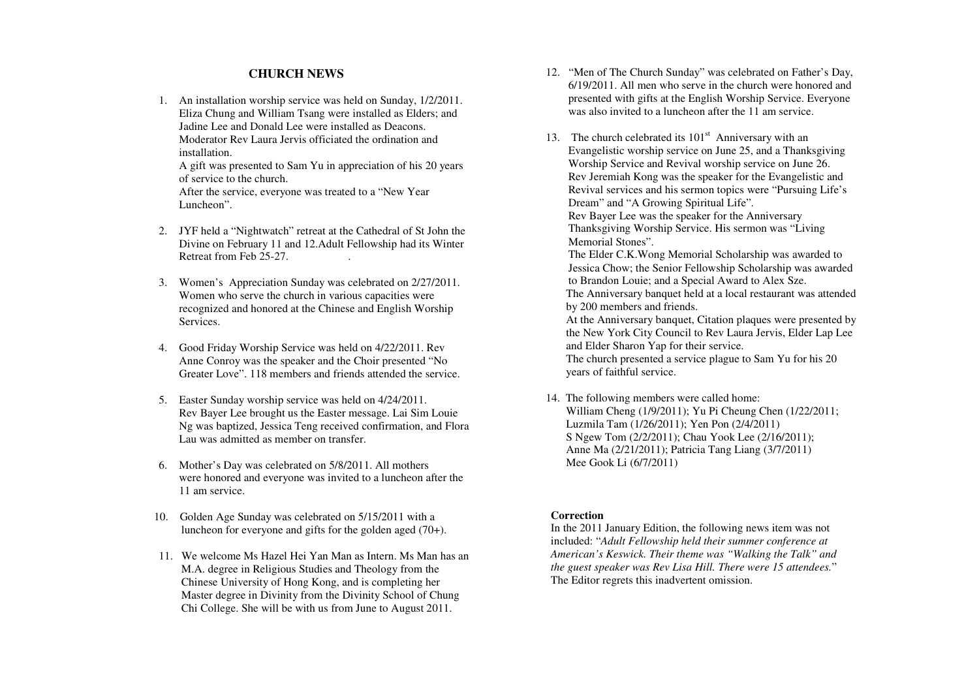## **CHURCH NEWS**

1. An installation worship service was held on Sunday, 1/2/2011. Eliza Chung and William Tsang were installed as Elders; and Jadine Lee and Donald Lee were installed as Deacons. Moderator Rev Laura Jervis officiated the ordination and installation.

 A gift was presented to Sam Yu in appreciation of his 20 years of service to the church.

 After the service, everyone was treated to a "New Year Luncheon".

- 2. JYF held a "Nightwatch" retreat at the Cathedral of St John the Divine on February 11 and 12.Adult Fellowship had its Winter Retreat from Feb 25-27. .
- 3. Women's Appreciation Sunday was celebrated on 2/27/2011. Women who serve the church in various capacities were recognized and honored at the Chinese and English Worship Services.
- 4. Good Friday Worship Service was held on 4/22/2011. Rev Anne Conroy was the speaker and the Choir presented "No Greater Love". 118 members and friends attended the service.
- 5. Easter Sunday worship service was held on 4/24/2011. Rev Bayer Lee brought us the Easter message. Lai Sim Louie Ng was baptized, Jessica Teng received confirmation, and Flora Lau was admitted as member on transfer.
- 6. Mother's Day was celebrated on 5/8/2011. All mothers were honored and everyone was invited to a luncheon after the 11 am service.
- 10. Golden Age Sunday was celebrated on 5/15/2011 with a luncheon for everyone and gifts for the golden aged (70+).
- 11. We welcome Ms Hazel Hei Yan Man as Intern. Ms Man has an M.A. degree in Religious Studies and Theology from the Chinese University of Hong Kong, and is completing her Master degree in Divinity from the Divinity School of Chung Chi College. She will be with us from June to August 2011.
- 12. "Men of The Church Sunday" was celebrated on Father's Day, 6/19/2011. All men who serve in the church were honored and presented with gifts at the English Worship Service. Everyone was also invited to a luncheon after the 11 am service.
- 13. The church celebrated its  $101<sup>st</sup>$  Anniversary with an Evangelistic worship service on June 25, and a Thanksgiving Worship Service and Revival worship service on June 26. Rev Jeremiah Kong was the speaker for the Evangelistic and Revival services and his sermon topics were "Pursuing Life's Dream" and "A Growing Spiritual Life". Rev Bayer Lee was the speaker for the Anniversary Thanksgiving Worship Service. His sermon was "Living Memorial Stones".

 The Elder C.K.Wong Memorial Scholarship was awarded to Jessica Chow; the Senior Fellowship Scholarship was awarded to Brandon Louie; and a Special Award to Alex Sze. The Anniversary banquet held at a local restaurant was attended

by 200 members and friends.

 At the Anniversary banquet, Citation plaques were presented by the New York City Council to Rev Laura Jervis, Elder Lap Lee and Elder Sharon Yap for their service. The church presented a service plague to Sam Yu for his 20 years of faithful service.

14. The following members were called home: William Cheng (1/9/2011); Yu Pi Cheung Chen (1/22/2011; Luzmila Tam (1/26/2011); Yen Pon (2/4/2011) S Ngew Tom (2/2/2011); Chau Yook Lee (2/16/2011); Anne Ma (2/21/2011); Patricia Tang Liang (3/7/2011)Mee Gook Li (6/7/2011)

## **Correction**

 In the 2011 January Edition, the following news item was not included: "*Adult Fellowship held their summer conference at American's Keswick. Their theme was "Walking the Talk" and the guest speaker was Rev Lisa Hill. There were 15 attendees.*" The Editor regrets this inadvertent omission.